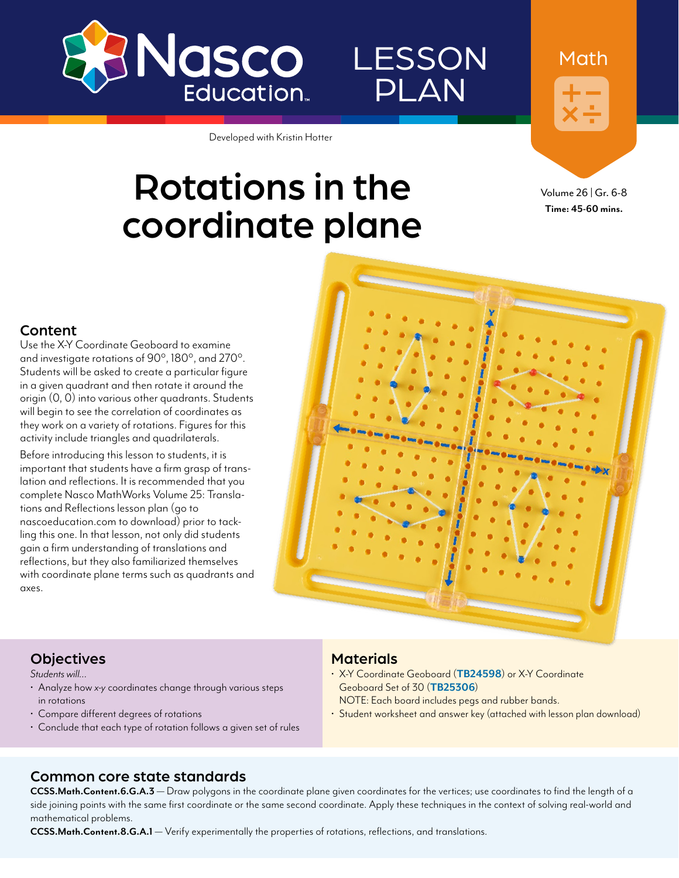

LESSON PLAN

Developed with Kristin Hotter

# Rotations in the coordinate plane

Volume 26 | Gr. 6-8 **Time: 45-60 mins.**

Math

### Content

Use the X-Y Coordinate Geoboard to examine and investigate rotations of 90°, 180°, and 270°. Students will be asked to create a particular figure in a given quadrant and then rotate it around the origin (0, 0) into various other quadrants. Students will begin to see the correlation of coordinates as they work on a variety of rotations. Figures for this activity include triangles and quadrilaterals.

Before introducing this lesson to students, it is important that students have a firm grasp of translation and reflections. It is recommended that you complete Nasco MathWorks Volume 25: Translations and Reflections lesson plan (go to [nascoeducation.com](http://nascoeducation.com) to download) prior to tackling this one. In that lesson, not only did students gain a firm understanding of translations and reflections, but they also familiarized themselves with coordinate plane terms such as quadrants and axes.



### **Objectives**

*Students will…*

- Analyze how *x-y* coordinates change through various steps in rotations
- Compare different degrees of rotations
- Conclude that each type of rotation follows a given set of rules

### **Materials**

- X-Y Coordinate Geoboard (**[TB24598](https://www.enasco.com/p/TB24598)**) or X-Y Coordinate Geoboard Set of 30 (**[TB25306](https://www.enasco.com/p/TB25306)**) NOTE: Each board includes pegs and rubber bands.
- Student worksheet and answer key (attached with lesson plan download)

### Common core state standards

**CCSS.Math.Content.6.G.A.3** — Draw polygons in the coordinate plane given coordinates for the vertices; use coordinates to find the length of a side joining points with the same first coordinate or the same second coordinate. Apply these techniques in the context of solving real-world and mathematical problems.

**CCSS.Math.Content.8.G.A.1** — Verify experimentally the properties of rotations, reflections, and translations.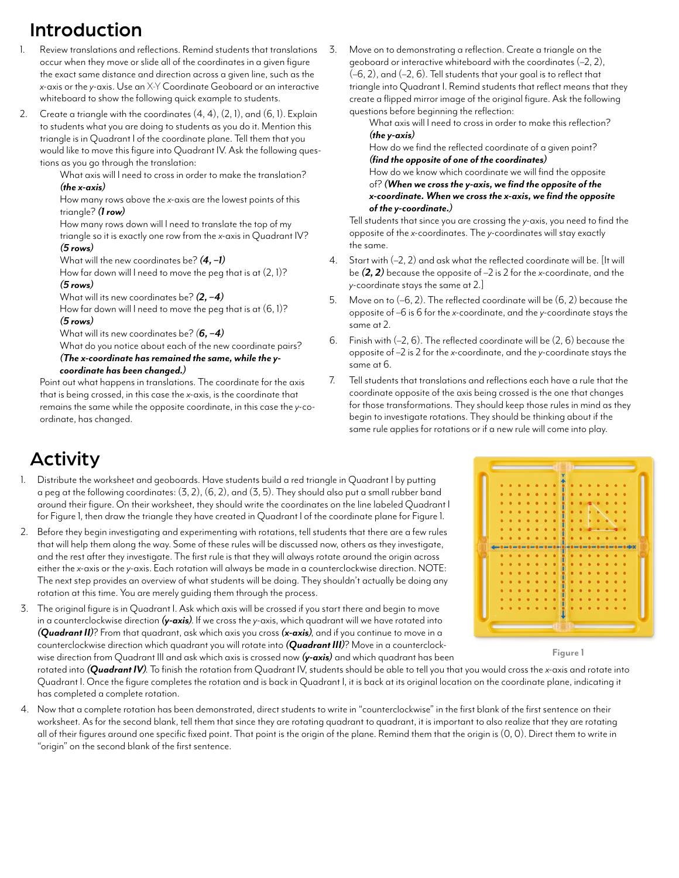## Introduction

- Review translations and reflections. Remind students that translations occur when they move or slide all of the coordinates in a given figure the exact same distance and direction across a given line, such as the *x*-axis or the *y*-axis. Use an X-Y Coordinate Geoboard or an interactive whiteboard to show the following quick example to students.
- 2. Create a triangle with the coordinates (4, 4), (2, 1), and (6, 1). Explain to students what you are doing to students as you do it. Mention this triangle is in Quadrant I of the coordinate plane. Tell them that you would like to move this figure into Quadrant IV. Ask the following questions as you go through the translation:

What axis will I need to cross in order to make the translation?

#### *(the x-axis)*

How many rows above the *x*-axis are the lowest points of this triangle? *(1 row)*

How many rows down will I need to translate the top of my triangle so it is exactly one row from the *x*-axis in Quadrant IV? *(5 rows)*

What will the new coordinates be? *(4, –1)*

How far down will I need to move the peg that is at (2, 1)? *(5 rows)*

What will its new coordinates be? *(2, –4)*

How far down will I need to move the peg that is at (6, 1)? *(5 rows)*

What will its new coordinates be? *(6, –4)*

What do you notice about each of the new coordinate pairs? *(The x-coordinate has remained the same, while the ycoordinate has been changed.)*

Point out what happens in translations. The coordinate for the axis that is being crossed, in this case the *x*-axis, is the coordinate that remains the same while the opposite coordinate, in this case the *y*-coordinate, has changed.

3. Move on to demonstrating a reflection. Create a triangle on the geoboard or interactive whiteboard with the coordinates (–2, 2), (–6, 2), and (–2, 6). Tell students that your goal is to reflect that triangle into Quadrant I. Remind students that reflect means that they create a flipped mirror image of the original figure. Ask the following questions before beginning the reflection:

> What axis will I need to cross in order to make this reflection? *(the y-axis)*

How do we find the reflected coordinate of a given point? *(find the opposite of one of the coordinates)*

How do we know which coordinate we will find the opposite of? *(When we cross the y-axis, we find the opposite of the x-coordinate. When we cross the x-axis, we find the opposite of the y-coordinate.)* 

Tell students that since you are crossing the *y*-axis, you need to find the opposite of the *x*-coordinates. The *y*-coordinates will stay exactly the same.

- 4. Start with (–2, 2) and ask what the reflected coordinate will be. [It will be *(2, 2)* because the opposite of –2 is 2 for the *x*-coordinate, and the *y*-coordinate stays the same at 2.]
- 5. Move on to (–6, 2). The reflected coordinate will be (6, 2) because the opposite of –6 is 6 for the *x*-coordinate, and the *y*-coordinate stays the same at 2.
- 6. Finish with (–2, 6). The reflected coordinate will be (2, 6) because the opposite of –2 is 2 for the *x*-coordinate, and the *y*-coordinate stays the same at 6.
- 7. Tell students that translations and reflections each have a rule that the coordinate opposite of the axis being crossed is the one that changes for those transformations. They should keep those rules in mind as they begin to investigate rotations. They should be thinking about if the same rule applies for rotations or if a new rule will come into play.

## Activity

- 1. Distribute the worksheet and geoboards. Have students build a red triangle in Quadrant I by putting a peg at the following coordinates: (3, 2), (6, 2), and (3, 5). They should also put a small rubber band around their figure. On their worksheet, they should write the coordinates on the line labeled Quadrant I for Figure 1, then draw the triangle they have created in Quadrant I of the coordinate plane for Figure 1.
- 2. Before they begin investigating and experimenting with rotations, tell students that there are a few rules that will help them along the way. Some of these rules will be discussed now, others as they investigate, and the rest after they investigate. The first rule is that they will always rotate around the origin across either the *x*-axis or the *y*-axis. Each rotation will always be made in a counterclockwise direction. NOTE: The next step provides an overview of what students will be doing. They shouldn't actually be doing any rotation at this time. You are merely guiding them through the process.

3. The original figure is in Quadrant I. Ask which axis will be crossed if you start there and begin to move in a counterclockwise direction *(y-axis)*. If we cross the *y*-axis, which quadrant will we have rotated into *(Quadrant II)*? From that quadrant, ask which axis you cross *(x-axis)*, and if you continue to move in a counterclockwise direction which quadrant you will rotate into *(Quadrant III)*? Move in a counterclockwise direction from Quadrant III and ask which axis is crossed now *(y-axis)* and which quadrant has been

rotated into *(Quadrant IV)*. To finish the rotation from Quadrant IV, students should be able to tell you that you would cross the *x*-axis and rotate into Quadrant I. Once the figure completes the rotation and is back in Quadrant I, it is back at its original location on the coordinate plane, indicating it has completed a complete rotation.

4. Now that a complete rotation has been demonstrated, direct students to write in "counterclockwise" in the first blank of the first sentence on their worksheet. As for the second blank, tell them that since they are rotating quadrant to quadrant, it is important to also realize that they are rotating all of their figures around one specific fixed point. That point is the origin of the plane. Remind them that the origin is (0, 0). Direct them to write in "origin" on the second blank of the first sentence.



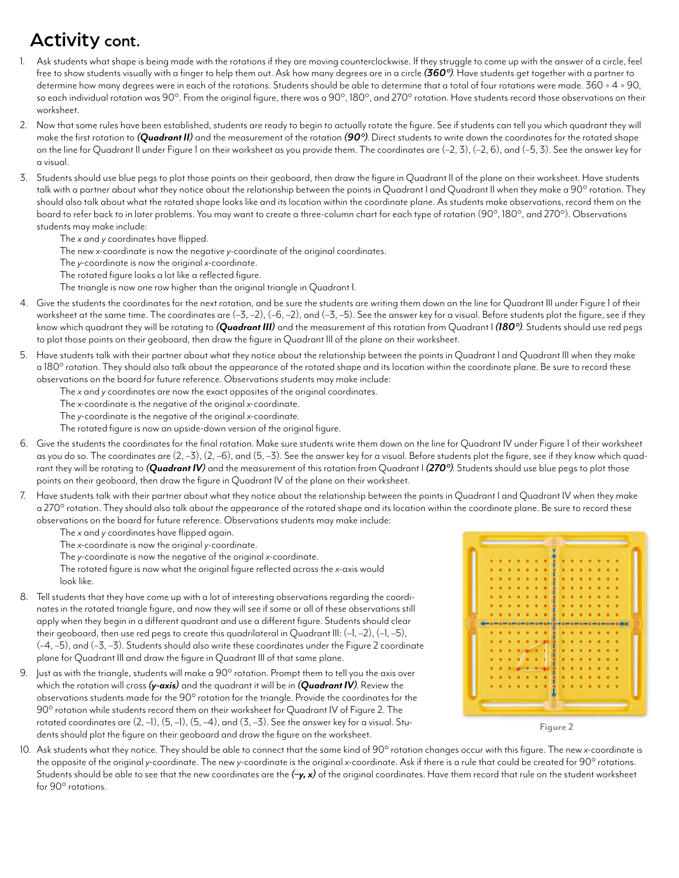### Activity cont.

- 1. Ask students what shape is being made with the rotations if they are moving counterclockwise. If they struggle to come up with the answer of a circle, feel free to show students visually with a finger to help them out. Ask how many degrees are in a circle *(360°)*. Have students get together with a partner to determine how many degrees were in each of the rotations. Students should be able to determine that a total of four rotations were made. 360 ÷ 4 = 90, so each individual rotation was 90°. From the original figure, there was a 90°, 180°, and 270° rotation. Have students record those observations on their worksheet.
- 2. Now that some rules have been established, students are ready to begin to actually rotate the figure. See if students can tell you which quadrant they will make the first rotation to *(Quadrant II)* and the measurement of the rotation *(90°)*. Direct students to write down the coordinates for the rotated shape on the line for Quadrant II under Figure 1 on their worksheet as you provide them. The coordinates are (–2, 3), (–2, 6), and (–5, 3). See the answer key for a visual.
- 3. Students should use blue pegs to plot those points on their geoboard, then draw the figure in Quadrant II of the plane on their worksheet. Have students talk with a partner about what they notice about the relationship between the points in Quadrant I and Quadrant II when they make a 90° rotation. They should also talk about what the rotated shape looks like and its location within the coordinate plane. As students make observations, record them on the board to refer back to in later problems. You may want to create a three-column chart for each type of rotation (90°, 180°, and 270°). Observations students may make include:
	- The *x* and *y* coordinates have flipped.
	- The new *x*-coordinate is now the negative *y*-coordinate of the original coordinates.
	- The *y*-coordinate is now the original *x*-coordinate.
	- The rotated figure looks a lot like a reflected figure.
	- The triangle is now one row higher than the original triangle in Quadrant I.
- 4. Give the students the coordinates for the next rotation, and be sure the students are writing them down on the line for Quadrant III under Figure 1 of their worksheet at the same time. The coordinates are  $(-3, -2)$ ,  $(-6, -2)$ , and  $(-3, -5)$ . See the answer key for a visual. Before students plot the figure, see if they know which quadrant they will be rotating to *(Quadrant III)* and the measurement of this rotation from Quadrant I *(180°)*. Students should use red pegs to plot those points on their geoboard, then draw the figure in Quadrant III of the plane on their worksheet.
- 5. Have students talk with their partner about what they notice about the relationship between the points in Quadrant I and Quadrant III when they make a 180° rotation. They should also talk about the appearance of the rotated shape and its location within the coordinate plane. Be sure to record these observations on the board for future reference. Observations students may make include:
	- The *x* and *y* coordinates are now the exact opposites of the original coordinates.
	- The *x*-coordinate is the negative of the original *x*-coordinate.
	- The *y*-coordinate is the negative of the original *x*-coordinate.
	- The rotated figure is now an upside-down version of the original figure.
- 6. Give the students the coordinates for the final rotation. Make sure students write them down on the line for Quadrant IV under Figure 1 of their worksheet as you do so. The coordinates are (2, –3), (2, –6), and (5, –3). See the answer key for a visual. Before students plot the figure, see if they know which quadrant they will be rotating to *(Quadrant IV)* and the measurement of this rotation from Quadrant I *(270°)*. Students should use blue pegs to plot those points on their geoboard, then draw the figure in Quadrant IV of the plane on their worksheet.
- 7. Have students talk with their partner about what they notice about the relationship between the points in Quadrant I and Quadrant IV when they make a 270° rotation. They should also talk about the appearance of the rotated shape and its location within the coordinate plane. Be sure to record these observations on the board for future reference. Observations students may make include:
	- The *x* and *y* coordinates have flipped again.
	- The *x*-coordinate is now the original *y*-coordinate.
	- The *y*-coordinate is now the negative of the original *x*-coordinate.

The rotated figure is now what the original figure reflected across the *x*-axis would look like.

- 8. Tell students that they have come up with a lot of interesting observations regarding the coordinates in the rotated triangle figure, and now they will see if some or all of these observations still apply when they begin in a different quadrant and use a different figure. Students should clear their geoboard, then use red pegs to create this quadrilateral in Quadrant III: (–1, –2), (–1, –5), (–4, –5), and (–3, –3). Students should also write these coordinates under the Figure 2 coordinate plane for Quadrant III and draw the figure in Quadrant III of that same plane.
- 9. Just as with the triangle, students will make a  $90^{\circ}$  rotation. Prompt them to tell you the axis over which the rotation will cross *(y-axis)* and the quadrant it will be in *(Quadrant IV)*. Review the observations students made for the 90° rotation for the triangle. Provide the coordinates for the 90° rotation while students record them on their worksheet for Quadrant IV of Figure 2. The rotated coordinates are  $(2, -1)$ ,  $(5, -1)$ ,  $(5, -4)$ , and  $(3, -3)$ . See the answer key for a visual. Students should plot the figure on their geoboard and draw the figure on the worksheet.





10. Ask students what they notice. They should be able to connect that the same kind of 90° rotation changes occur with this figure. The new *x*-coordinate is the opposite of the original *y*-coordinate. The new *y*-coordinate is the original *x*-coordinate. Ask if there is a rule that could be created for 90° rotations. Students should be able to see that the new coordinates are the *(–y, x)* of the original coordinates. Have them record that rule on the student worksheet for 90° rotations.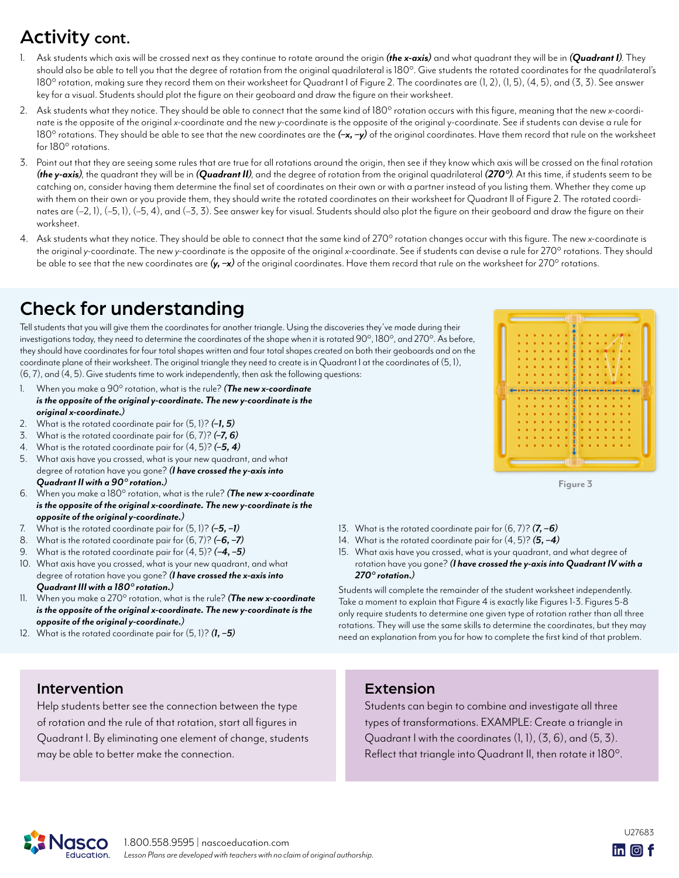### Activity cont.

- 1. Ask students which axis will be crossed next as they continue to rotate around the origin *(the x-axis)* and what quadrant they will be in *(Quadrant I)*. They should also be able to tell you that the degree of rotation from the original quadrilateral is 180°. Give students the rotated coordinates for the quadrilateral's 180° rotation, making sure they record them on their worksheet for Quadrant I of Figure 2. The coordinates are (1, 2), (1, 5), (4, 5), and (3, 3). See answer key for a visual. Students should plot the figure on their geoboard and draw the figure on their worksheet.
- 2. Ask students what they notice. They should be able to connect that the same kind of 180° rotation occurs with this figure, meaning that the new *x*-coordinate is the opposite of the original *x*-coordinate and the new *y*-coordinate is the opposite of the original y-coordinate. See if students can devise a rule for 180° rotations. They should be able to see that the new coordinates are the  $(-x, -y)$  of the original coordinates. Have them record that rule on the worksheet for 180° rotations.
- 3. Point out that they are seeing some rules that are true for all rotations around the origin, then see if they know which axis will be crossed on the final rotation *(the y-axis)*, the quadrant they will be in *(Quadrant II)*, and the degree of rotation from the original quadrilateral *(270°)*. At this time, if students seem to be catching on, consider having them determine the final set of coordinates on their own or with a partner instead of you listing them. Whether they come up with them on their own or you provide them, they should write the rotated coordinates on their worksheet for Quadrant II of Figure 2. The rotated coordinates are (–2, 1), (–5, 1), (–5, 4), and (–3, 3). See answer key for visual. Students should also plot the figure on their geoboard and draw the figure on their worksheet.
- 4. Ask students what they notice. They should be able to connect that the same kind of 270° rotation changes occur with this figure. The new *x*-coordinate is the original *y*-coordinate. The new *y*-coordinate is the opposite of the original *x*-coordinate. See if students can devise a rule for 270° rotations. They should be able to see that the new coordinates are *(y, –x)* of the original coordinates. Have them record that rule on the worksheet for 270° rotations.

### Check for understanding

Tell students that you will give them the coordinates for another triangle. Using the discoveries they've made during their investigations today, they need to determine the coordinates of the shape when it is rotated  $90^\circ$ , 180 $^\circ$ , and 270 $^\circ$ . As before, they should have coordinates for four total shapes written and four total shapes created on both their geoboards and on the coordinate plane of their worksheet. The original triangle they need to create is in Quadrant I at the coordinates of (5, 1), (6, 7), and (4, 5). Give students time to work independently, then ask the following questions:

- 1. When you make a 90° rotation, what is the rule? *(The new x-coordinate is the opposite of the original y-coordinate. The new y-coordinate is the original x-coordinate.)*
- 2. What is the rotated coordinate pair for (5, 1)? *(–1, 5)*
- 3. What is the rotated coordinate pair for (6, 7)? *(–7, 6)*
- 4. What is the rotated coordinate pair for (4, 5)? *(–5, 4)*
- 5. What axis have you crossed, what is your new quadrant, and what degree of rotation have you gone? *(I have crossed the y-axis into Quadrant II with a 90° rotation.)*
- 6. When you make a 180° rotation, what is the rule? *(The new x-coordinate is the opposite of the original x-coordinate. The new y-coordinate is the opposite of the original y-coordinate.)*
- 7. What is the rotated coordinate pair for (5, 1)? *(–5, –1)*
- 8. What is the rotated coordinate pair for (6, 7)? *(–6, –7)*
- 9. What is the rotated coordinate pair for (4, 5)? *(–4, –5)*
- 10. What axis have you crossed, what is your new quadrant, and what degree of rotation have you gone? *(I have crossed the x-axis into Quadrant III with a 180° rotation.)*
- 11. When you make a 270° rotation, what is the rule? *(The new x-coordinate is the opposite of the original x-coordinate. The new y-coordinate is the opposite of the original y-coordinate.)*
- 12. What is the rotated coordinate pair for (5, 1)? *(1, –5)*

**Figure 3**

- 13. What is the rotated coordinate pair for (6, 7)? *(7, –6)*
- 14. What is the rotated coordinate pair for (4, 5)? *(5, –4)*
- 15. What axis have you crossed, what is your quadrant, and what degree of rotation have you gone? *(I have crossed the y-axis into Quadrant IV with a 270° rotation.)*

Students will complete the remainder of the student worksheet independently. Take a moment to explain that Figure 4 is exactly like Figures 1-3. Figures 5-8 only require students to determine one given type of rotation rather than all three rotations. They will use the same skills to determine the coordinates, but they may need an explanation from you for how to complete the first kind of that problem.

### Intervention

Help students better see the connection between the type of rotation and the rule of that rotation, start all figures in Quadrant I. By eliminating one element of change, students may be able to better make the connection.

#### Extension

Students can begin to combine and investigate all three types of transformations. EXAMPLE: Create a triangle in Quadrant I with the coordinates (1, 1), (3, 6), and (5, 3). Reflect that triangle into Quadrant II, then rotate it 180°.



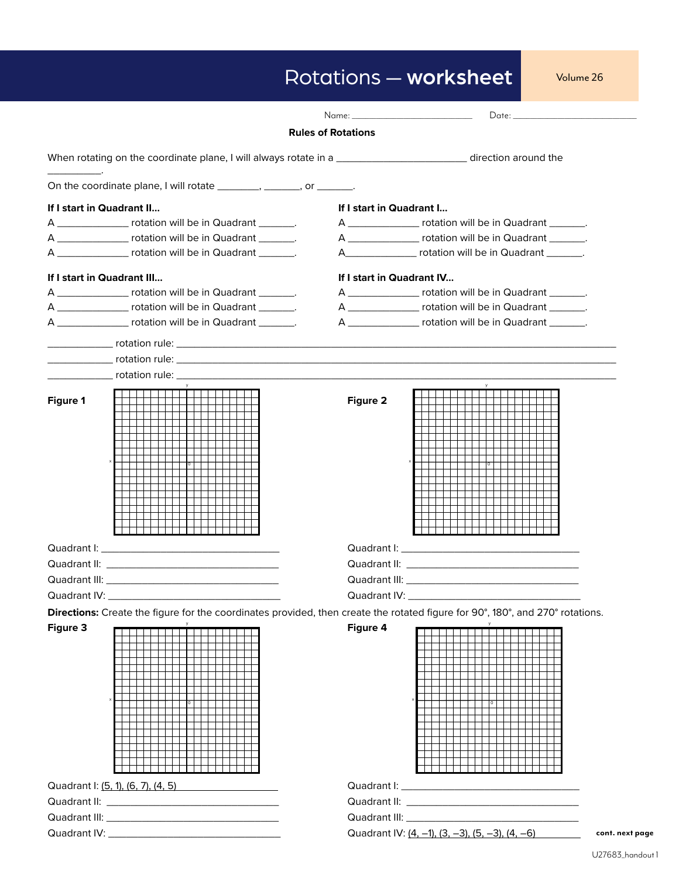## **Rotations — worksheet** and we want to all the set of the set of the set of the set of the set of the set of the set of the set of the set of the set of the set of the set of the set of the set of the set of the set of the

Volume 26

|                                                                                                                                                                                                                                | <b>Rules of Rotations</b> |                                                                                                                                                                                                                                |
|--------------------------------------------------------------------------------------------------------------------------------------------------------------------------------------------------------------------------------|---------------------------|--------------------------------------------------------------------------------------------------------------------------------------------------------------------------------------------------------------------------------|
| When rotating on the coordinate plane, I will always rotate in a _____________________________ direction around the                                                                                                            |                           |                                                                                                                                                                                                                                |
| On the coordinate plane, I will rotate ________, _______, or ______.                                                                                                                                                           |                           |                                                                                                                                                                                                                                |
| If I start in Quadrant II                                                                                                                                                                                                      | If I start in Quadrant I  |                                                                                                                                                                                                                                |
| A contation will be in Quadrant and the contract of the contract of the contract of the contract of the contract of the contract of the contract of the contract of the contract of the contract of the contract of the contra |                           | A ________________ rotation will be in Quadrant _______.                                                                                                                                                                       |
| A _________________ rotation will be in Quadrant ________.                                                                                                                                                                     |                           | A ________________ rotation will be in Quadrant _______.                                                                                                                                                                       |
| A ________________ rotation will be in Quadrant _______.                                                                                                                                                                       |                           | A__________________ rotation will be in Quadrant ________.                                                                                                                                                                     |
| If I start in Quadrant III                                                                                                                                                                                                     |                           | If I start in Quadrant IV                                                                                                                                                                                                      |
| A _________________ rotation will be in Quadrant ________.                                                                                                                                                                     |                           | A ________________ rotation will be in Quadrant _______.                                                                                                                                                                       |
| A ________________ rotation will be in Quadrant _______.                                                                                                                                                                       |                           | A ________________ rotation will be in Quadrant _______.                                                                                                                                                                       |
| A _________________ rotation will be in Quadrant ________.                                                                                                                                                                     |                           | A ________________ rotation will be in Quadrant _______.                                                                                                                                                                       |
|                                                                                                                                                                                                                                |                           |                                                                                                                                                                                                                                |
|                                                                                                                                                                                                                                |                           |                                                                                                                                                                                                                                |
| example and to tation rule: example and the set of the set of the set of the set of the set of the set of the s                                                                                                                |                           |                                                                                                                                                                                                                                |
| Figure 1                                                                                                                                                                                                                       | Figure 2                  |                                                                                                                                                                                                                                |
|                                                                                                                                                                                                                                |                           |                                                                                                                                                                                                                                |
| Quadrant II: the contract of the contract of the contract of the contract of the contract of the contract of the contract of the contract of the contract of the contract of the contract of the contract of the contract of t |                           | Quadrant II: The Contract of the Contract of the Contract of the Contract of the Contract of the Contract of the Contract of the Contract of the Contract of the Contract of the Contract of the Contract of the Contract of t |
|                                                                                                                                                                                                                                |                           |                                                                                                                                                                                                                                |
| Quadrant IV:                                                                                                                                                                                                                   | Quadrant IV:              |                                                                                                                                                                                                                                |
| Directions: Create the figure for the coordinates provided, then create the rotated figure for 90°, 180°, and 270° rotations.                                                                                                  |                           |                                                                                                                                                                                                                                |
| Figure 3                                                                                                                                                                                                                       | Figure 4                  |                                                                                                                                                                                                                                |
| Quadrant I: (5, 1), (6, 7), (4, 5)<br><u> 1989 - Johann Barbara, martin a</u>                                                                                                                                                  |                           |                                                                                                                                                                                                                                |
|                                                                                                                                                                                                                                |                           |                                                                                                                                                                                                                                |
|                                                                                                                                                                                                                                |                           |                                                                                                                                                                                                                                |
|                                                                                                                                                                                                                                |                           |                                                                                                                                                                                                                                |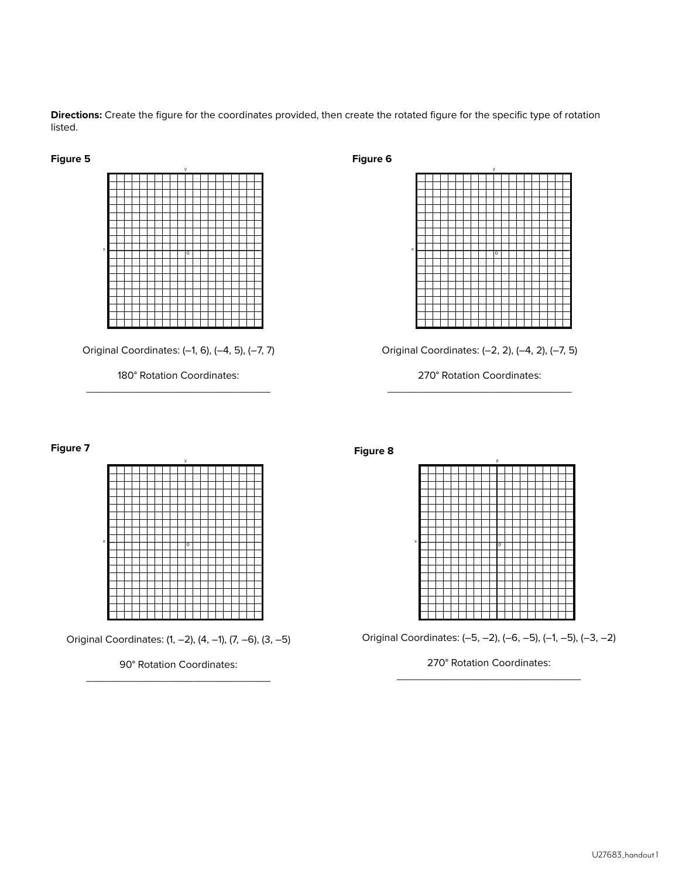**Directions:** Create the figure for the coordinates provided, then create the rotated figure for the specific type of rotation listed.



Original Coordinates: (–1, 6), (–4, 5), (–7, 7)

180° Rotation Coordinates: \_\_\_\_\_\_\_\_\_\_\_\_\_\_\_\_\_\_\_\_\_\_\_\_\_\_\_\_\_\_\_

#### **Figure 6**



Original Coordinates: (–2, 2), (–4, 2), (–7, 5)

270° Rotation Coordinates: \_\_\_\_\_\_\_\_\_\_\_\_\_\_\_\_\_\_\_\_\_\_\_\_\_\_\_\_\_\_\_



Original Coordinates: (1, –2), (4, –1), (7, –6), (3, –5)

90° Rotation Coordinates: \_\_\_\_\_\_\_\_\_\_\_\_\_\_\_\_\_\_\_\_\_\_\_\_\_\_\_\_\_\_\_



Original Coordinates: (–5, –2), (–6, –5), (–1, –5), (–3, –2)

270° Rotation Coordinates: \_\_\_\_\_\_\_\_\_\_\_\_\_\_\_\_\_\_\_\_\_\_\_\_\_\_\_\_\_\_\_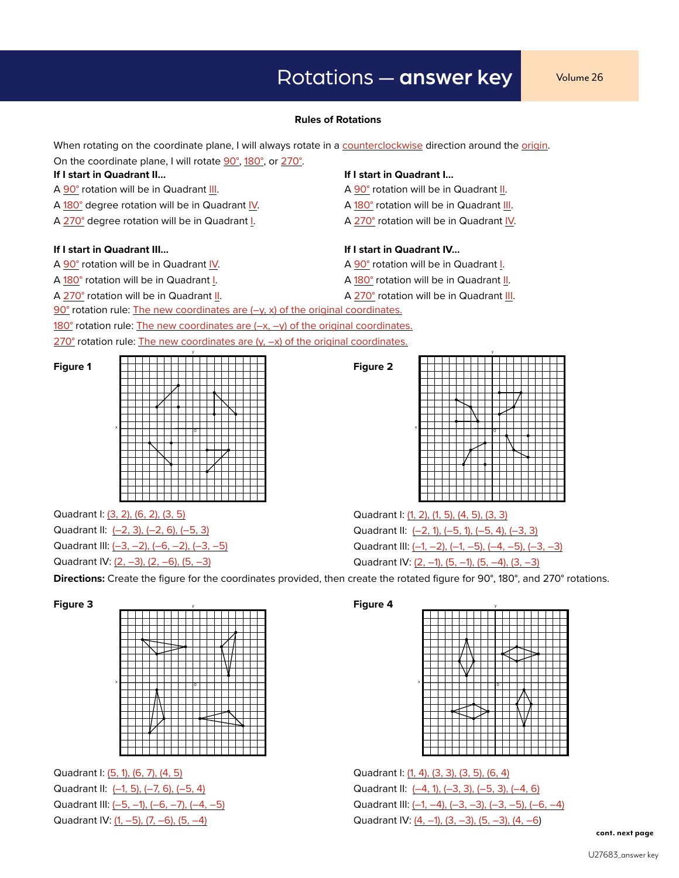**If I start in Quadrant I…**

**If I start in Quadrant IV…**

A 90° rotation will be in Quadrant II. A 180° rotation will be in Quadrant III. A 270° rotation will be in Quadrant IV.

A 90° rotation will be in Quadrant *I.* A 180° rotation will be in Quadrant II. A 270° rotation will be in Quadrant III. V olume26\_U27683

#### **Rules of Rotations**

When rotating on the coordinate plane, I will always rotate in a counterclockwise direction around the origin.

On the coordinate plane, I will rotate  $90^\circ$ ,  $180^\circ$ , or  $270^\circ$ .

Nasco MathWorks Lesson: Rotations in the Coordinate Plane

#### **If I start in Quadrant II…**

- A 90° rotation will be in Quadrant III.
- A 180° degree rotation will be in Quadrant IV.
- A 270° degree rotation will be in Quadrant I.

#### **If I start in Quadrant III…**

- A 90° rotation will be in Quadrant IV.
- A 180° rotation will be in Quadrant *I.*
- A 270° rotation will be in Quadrant II.

Quadrant I: (3, 2), (6, 2), (3, 5) Quadrant II: (-2, 3), (-2, 6), (-5, 3) Quadrant III: (-3, -2), (-6, -2), (-3, -5) Quadrant IV:  $(2, -3)$ ,  $(2, -6)$ ,  $(5, -3)$ 

#### 90° rotation rule: The new coordinates are (-y, x) of the original coordinates.

180° rotation rule: The new coordinates are (-x, -y) of the original coordinates.

 $270^\circ$  rotation rule: The new coordinates are  $(y, -x)$  of the original coordinates.

**Figure 1**

| × |  |  |  |  |  |   |  |  |  |  |  |
|---|--|--|--|--|--|---|--|--|--|--|--|
|   |  |  |  |  |  | o |  |  |  |  |  |
|   |  |  |  |  |  |   |  |  |  |  |  |
|   |  |  |  |  |  |   |  |  |  |  |  |
|   |  |  |  |  |  |   |  |  |  |  |  |
|   |  |  |  |  |  |   |  |  |  |  |  |
|   |  |  |  |  |  |   |  |  |  |  |  |
|   |  |  |  |  |  |   |  |  |  |  |  |
|   |  |  |  |  |  |   |  |  |  |  |  |
|   |  |  |  |  |  |   |  |  |  |  |  |
|   |  |  |  |  |  |   |  |  |  |  |  |
|   |  |  |  |  |  |   |  |  |  |  |  |

y

**Figure 2**



Quadrant I: (1, 2), (1, 5), (4, 5), (3, 3) Quadrant II: (–2, 1), (–5, 1), (–5, 4), (–3, 3) Quadrant III:  $(-1, -2)$ ,  $(-1, -5)$ ,  $(-4, -5)$ ,  $(-3, -3)$ Quadrant IV: (2, –1), (5, –1), (5, –4), (3, –3)

x

x

**Directions:** Create the figure for the coordinates provided, then create the rotated figure for 90°, 180°, and 270° rotations.

**Figure 3**

|   |  |  |  |  |  | y |  |   |  |  |  |
|---|--|--|--|--|--|---|--|---|--|--|--|
|   |  |  |  |  |  |   |  |   |  |  |  |
|   |  |  |  |  |  |   |  |   |  |  |  |
|   |  |  |  |  |  |   |  |   |  |  |  |
|   |  |  |  |  |  |   |  |   |  |  |  |
|   |  |  |  |  |  |   |  |   |  |  |  |
|   |  |  |  |  |  |   |  |   |  |  |  |
|   |  |  |  |  |  |   |  |   |  |  |  |
|   |  |  |  |  |  |   |  |   |  |  |  |
|   |  |  |  |  |  |   |  | π |  |  |  |
| x |  |  |  |  |  |   |  |   |  |  |  |
|   |  |  |  |  |  | o |  |   |  |  |  |
|   |  |  |  |  |  |   |  |   |  |  |  |
|   |  |  |  |  |  |   |  |   |  |  |  |
|   |  |  |  |  |  |   |  |   |  |  |  |
|   |  |  |  |  |  |   |  |   |  |  |  |
|   |  |  |  |  |  |   |  |   |  |  |  |
|   |  |  |  |  |  |   |  |   |  |  |  |
|   |  |  |  |  |  |   |  |   |  |  |  |
|   |  |  |  |  |  |   |  |   |  |  |  |
|   |  |  |  |  |  |   |  |   |  |  |  |

Quadrant I: (5, 1), (6, 7), (4, 5) Quadrant II: (-1, 5), (-7, 6), (-5, 4) Quadrant III: (-5, -1), (-6, -7), (-4, -5) Quadrant IV: (1, -5), (7, -6), (5, -4)

**Figure 4**

|  |  |  |  | 0 |  |  |  |  |  |
|--|--|--|--|---|--|--|--|--|--|
|  |  |  |  |   |  |  |  |  |  |
|  |  |  |  |   |  |  |  |  |  |
|  |  |  |  |   |  |  |  |  |  |

y

Quadrant I: (1, 4), (3, 3), (3, 5), (6, 4) Quadrant II: (–4, 1), (–3, 3), (–5, 3), (–4, 6) Quadrant III: (–1, –4), (–3, –3), (–3, –5), (–6, –4) Quadrant IV:  $(4, -1)$ ,  $(3, -3)$ ,  $(5, -3)$ ,  $(4, -6)$ 

**cont. next page**